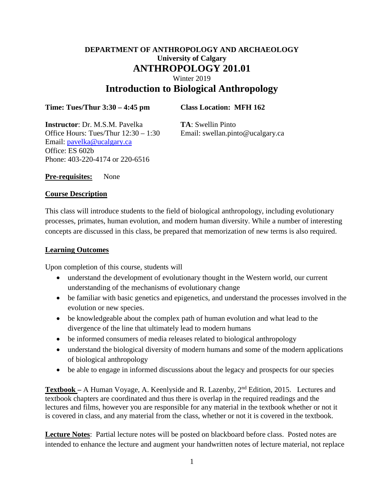# **DEPARTMENT OF ANTHROPOLOGY AND ARCHAEOLOGY University of Calgary ANTHROPOLOGY 201.01** Winter 2019 **Introduction to Biological Anthropology**

#### **Time: Tues/Thur 3:30 – 4:45 pm Class Location: MFH 162**

**Instructor**: Dr. M.S.M. Pavelka **TA**: Swellin Pinto Office Hours: Tues/Thur  $12:30 - 1:30$  Email: swellan.pinto@ucalgary.ca Email: [pavelka@ucalgary.ca](mailto:pavelka@ucalgary.ca) Office: ES 602b Phone: 403-220-4174 or 220-6516

**Pre-requisites:** None

#### **Course Description**

This class will introduce students to the field of biological anthropology, including evolutionary processes, primates, human evolution, and modern human diversity. While a number of interesting concepts are discussed in this class, be prepared that memorization of new terms is also required.

### **Learning Outcomes**

Upon completion of this course, students will

- understand the development of evolutionary thought in the Western world, our current understanding of the mechanisms of evolutionary change
- be familiar with basic genetics and epigenetics, and understand the processes involved in the evolution or new species.
- be knowledgeable about the complex path of human evolution and what lead to the divergence of the line that ultimately lead to modern humans
- be informed consumers of media releases related to biological anthropology
- understand the biological diversity of modern humans and some of the modern applications of biological anthropology
- be able to engage in informed discussions about the legacy and prospects for our species

**Textbook –** A Human Voyage, A. Keenlyside and R. Lazenby, 2nd Edition, 2015. Lectures and textbook chapters are coordinated and thus there is overlap in the required readings and the lectures and films, however you are responsible for any material in the textbook whether or not it is covered in class, and any material from the class, whether or not it is covered in the textbook.

**Lecture Notes**: Partial lecture notes will be posted on blackboard before class. Posted notes are intended to enhance the lecture and augment your handwritten notes of lecture material, not replace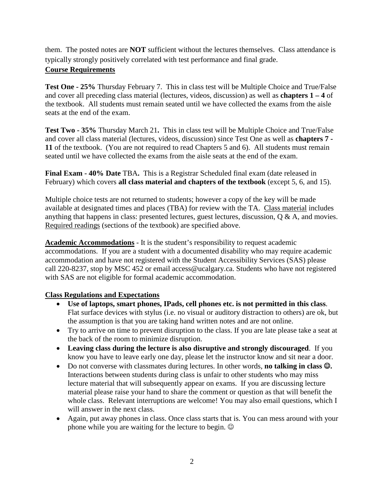them. The posted notes are **NOT** sufficient without the lectures themselves. Class attendance is typically strongly positively correlated with test performance and final grade.

## **Course Requirements**

**Test One - 25%** Thursday February 7. This in class test will be Multiple Choice and True/False and cover all preceding class material (lectures, videos, discussion) as well as **chapters 1 – 4** of the textbook. All students must remain seated until we have collected the exams from the aisle seats at the end of the exam.

**Test Two - 35%** Thursday March 21**.** This in class test will be Multiple Choice and True/False and cover all class material (lectures, videos, discussion) since Test One as well as **chapters 7 - 11** of the textbook. (You are not required to read Chapters 5 and 6). All students must remain seated until we have collected the exams from the aisle seats at the end of the exam.

**Final Exam - 40% Date** TBA**.** This is a Registrar Scheduled final exam (date released in February) which covers **all class material and chapters of the textbook** (except 5, 6, and 15).

Multiple choice tests are not returned to students; however a copy of the key will be made available at designated times and places (TBA) for review with the TA. Class material includes anything that happens in class: presented lectures, guest lectures, discussion, Q & A, and movies. Required readings (sections of the textbook) are specified above.

**Academic Accommodations** - It is the student's responsibility to request academic accommodations. If you are a student with a documented disability who may require academic accommodation and have not registered with the Student Accessibility Services (SAS) please call 220-8237, stop by MSC 452 or email [access@ucalgary.ca.](mailto:access@ucalgary.ca) Students who have not registered with SAS are not eligible for formal academic accommodation.

## **Class Regulations and Expectations**

- **Use of laptops, smart phones, IPads, cell phones etc. is not permitted in this class**. Flat surface devices with stylus (i.e. no visual or auditory distraction to others) are ok, but the assumption is that you are taking hand written notes and are not online.
- Try to arrive on time to prevent disruption to the class. If you are late please take a seat at the back of the room to minimize disruption.
- **Leaving class during the lecture is also disruptive and strongly discouraged**. If you know you have to leave early one day, please let the instructor know and sit near a door.
- Do not converse with classmates during lectures. In other words, **no talking in class .** Interactions between students during class is unfair to other students who may miss lecture material that will subsequently appear on exams. If you are discussing lecture material please raise your hand to share the comment or question as that will benefit the whole class. Relevant interruptions are welcome! You may also email questions, which I will answer in the next class.
- Again, put away phones in class. Once class starts that is. You can mess around with your phone while you are waiting for the lecture to begin.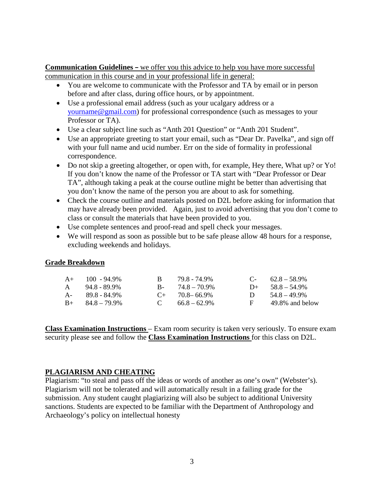**Communication Guidelines –** we offer you this advice to help you have more successful communication in this course and in your professional life in general:

- You are welcome to communicate with the Professor and TA by email or in person before and after class, during office hours, or by appointment.
- Use a professional email address (such as your ucalgary address or a [yourname@gmail.com\)](mailto:yourname@gmail.com) for professional correspondence (such as messages to your Professor or TA).
- Use a clear subject line such as "Anth 201 Question" or "Anth 201 Student".
- Use an appropriate greeting to start your email, such as "Dear Dr. Pavelka", and sign off with your full name and ucid number. Err on the side of formality in professional correspondence.
- Do not skip a greeting altogether, or open with, for example, Hey there, What up? or Yo! If you don't know the name of the Professor or TA start with "Dear Professor or Dear TA", although taking a peak at the course outline might be better than advertising that you don't know the name of the person you are about to ask for something.
- Check the course outline and materials posted on D2L before asking for information that may have already been provided. Again, just to avoid advertising that you don't come to class or consult the materials that have been provided to you.
- Use complete sentences and proof-read and spell check your messages.
- We will respond as soon as possible but to be safe please allow 48 hours for a response, excluding weekends and holidays.

#### **Grade Breakdown**

|              | $A+$ 100 - 94.9%        | R. | 79.8 - 74.9%        |              | $C-62.8-58.9\%$    |
|--------------|-------------------------|----|---------------------|--------------|--------------------|
| $\mathsf{A}$ | 94.8 - 89.9%            |    | $B - 74.8 - 70.9\%$ |              | $D+ 58.8 - 54.9\%$ |
|              | $A - 89.8 - 84.9\%$     |    | $C_{+}$ 70.8–66.9%  | $\mathbf{D}$ | $54.8 - 49.9\%$    |
|              | $B_{+}$ $84.8 - 79.9\%$ |    | $C = 66.8 - 62.9\%$ | F            | 49.8% and below    |

**Class Examination Instructions** – Exam room security is taken very seriously. To ensure exam security please see and follow the **Class Examination Instructions** for this class on D2L.

### **PLAGIARISM AND CHEATING**

Plagiarism: "to steal and pass off the ideas or words of another as one's own" (Webster's). Plagiarism will not be tolerated and will automatically result in a failing grade for the submission. Any student caught plagiarizing will also be subject to additional University sanctions. Students are expected to be familiar with the Department of Anthropology and Archaeology's policy on intellectual honesty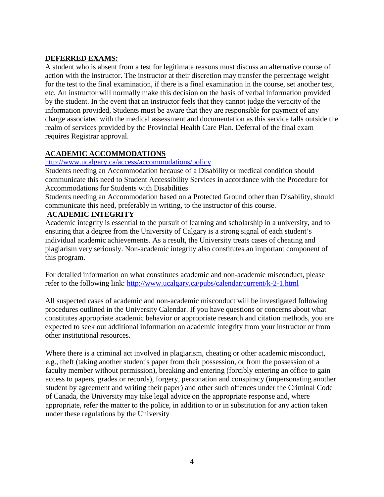## **DEFERRED EXAMS:**

A student who is absent from a test for legitimate reasons must discuss an alternative course of action with the instructor. The instructor at their discretion may transfer the percentage weight for the test to the final examination, if there is a final examination in the course, set another test, etc. An instructor will normally make this decision on the basis of verbal information provided by the student. In the event that an instructor feels that they cannot judge the veracity of the information provided, Students must be aware that they are responsible for payment of any charge associated with the medical assessment and documentation as this service falls outside the realm of services provided by the Provincial Health Care Plan. Deferral of the final exam requires Registrar approval.

## **ACADEMIC ACCOMMODATIONS**

## <http://www.ucalgary.ca/access/accommodations/policy>

Students needing an Accommodation because of a Disability or medical condition should communicate this need to Student Accessibility Services in accordance with the Procedure for Accommodations for Students with Disabilities

Students needing an Accommodation based on a Protected Ground other than Disability, should communicate this need, preferably in writing, to the instructor of this course.

## **ACADEMIC INTEGRITY**

Academic integrity is essential to the pursuit of learning and scholarship in a university, and to ensuring that a degree from the University of Calgary is a strong signal of each student's individual academic achievements. As a result, the University treats cases of cheating and plagiarism very seriously. Non-academic integrity also constitutes an important component of this program.

For detailed information on what constitutes academic and non-academic misconduct, please refer to the following link:<http://www.ucalgary.ca/pubs/calendar/current/k-2-1.html>

All suspected cases of academic and non-academic misconduct will be investigated following procedures outlined in the University Calendar. If you have questions or concerns about what constitutes appropriate academic behavior or appropriate research and citation methods, you are expected to seek out additional information on academic integrity from your instructor or from other institutional resources.

Where there is a criminal act involved in plagiarism, cheating or other academic misconduct, e.g., theft (taking another student's paper from their possession, or from the possession of a faculty member without permission), breaking and entering (forcibly entering an office to gain access to papers, grades or records), forgery, personation and conspiracy (impersonating another student by agreement and writing their paper) and other such offences under the Criminal Code of Canada, the University may take legal advice on the appropriate response and, where appropriate, refer the matter to the police, in addition to or in substitution for any action taken under these regulations by the University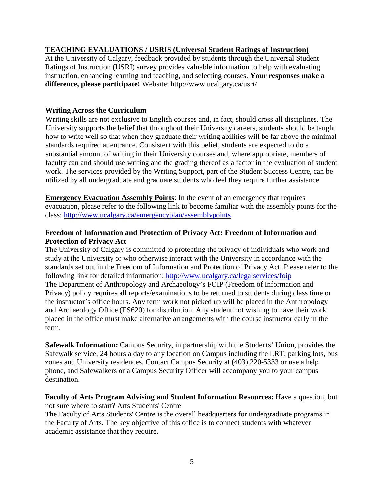### **TEACHING EVALUATIONS / USRIS (Universal Student Ratings of Instruction)**

At the University of Calgary, feedback provided by students through the Universal Student Ratings of Instruction (USRI) survey provides valuable information to help with evaluating instruction, enhancing learning and teaching, and selecting courses. **Your responses make a difference, please participate!** Website: http://www.ucalgary.ca/usri/

#### **Writing Across the Curriculum**

Writing skills are not exclusive to English courses and, in fact, should cross all disciplines. The University supports the belief that throughout their University careers, students should be taught how to write well so that when they graduate their writing abilities will be far above the minimal standards required at entrance. Consistent with this belief, students are expected to do a substantial amount of writing in their University courses and, where appropriate, members of faculty can and should use writing and the grading thereof as a factor in the evaluation of student work. The services provided by the Writing Support, part of the Student Success Centre, can be utilized by all undergraduate and graduate students who feel they require further assistance

**Emergency Evacuation Assembly Points**: In the event of an emergency that requires evacuation, please refer to the following link to become familiar with the assembly points for the class:<http://www.ucalgary.ca/emergencyplan/assemblypoints>

### **Freedom of Information and Protection of Privacy Act: Freedom of Information and Protection of Privacy Act**

The University of Calgary is committed to protecting the privacy of individuals who work and study at the University or who otherwise interact with the University in accordance with the standards set out in the Freedom of Information and Protection of Privacy Act. Please refer to the following link for detailed information:<http://www.ucalgary.ca/legalservices/foip> The Department of Anthropology and Archaeology's FOIP (Freedom of Information and Privacy) policy requires all reports/examinations to be returned to students during class time or the instructor's office hours. Any term work not picked up will be placed in the Anthropology and Archaeology Office (ES620) for distribution. Any student not wishing to have their work placed in the office must make alternative arrangements with the course instructor early in the term.

**Safewalk Information:** Campus Security, in partnership with the Students' Union, provides the Safewalk service, 24 hours a day to any location on Campus including the LRT, parking lots, bus zones and University residences. Contact Campus Security at (403) 220-5333 or use a help phone, and Safewalkers or a Campus Security Officer will accompany you to your campus destination.

#### **Faculty of Arts Program Advising and Student Information Resources:** Have a question, but not sure where to start? Arts Students' Centre

The Faculty of Arts Students' Centre is the overall headquarters for undergraduate programs in the Faculty of Arts. The key objective of this office is to connect students with whatever academic assistance that they require.